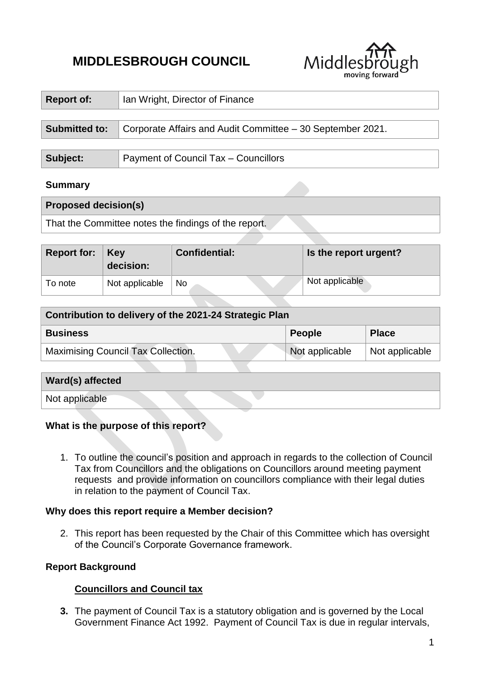# **MIDDLESBROUGH COUNCIL**



| <b>Report of:</b>           | Ian Wright, Director of Finance                            |  |  |
|-----------------------------|------------------------------------------------------------|--|--|
|                             |                                                            |  |  |
| <b>Submitted to:</b>        | Corporate Affairs and Audit Committee - 30 September 2021. |  |  |
|                             |                                                            |  |  |
| Subject:                    | Payment of Council Tax - Councillors                       |  |  |
| <b>Summary</b>              |                                                            |  |  |
| <b>Proposed decision(s)</b> |                                                            |  |  |

That the Committee notes the findings of the report.

| Report for: | <b>Key</b><br>decision: | <b>Confidential:</b> | Is the report urgent? |
|-------------|-------------------------|----------------------|-----------------------|
| To note     | Not applicable          | <b>No</b>            | Not applicable        |

| Contribution to delivery of the 2021-24 Strategic Plan |                |                |  |  |
|--------------------------------------------------------|----------------|----------------|--|--|
| <b>Business</b>                                        | <b>People</b>  | <b>Place</b>   |  |  |
| <b>Maximising Council Tax Collection.</b>              | Not applicable | Not applicable |  |  |

| Ward(s) affected |  |
|------------------|--|
| Not applicable   |  |

#### **What is the purpose of this report?**

1. To outline the council's position and approach in regards to the collection of Council Tax from Councillors and the obligations on Councillors around meeting payment requests and provide information on councillors compliance with their legal duties in relation to the payment of Council Tax.

#### **Why does this report require a Member decision?**

2. This report has been requested by the Chair of this Committee which has oversight of the Council's Corporate Governance framework.

# **Report Background**

# **Councillors and Council tax**

**3.** The payment of Council Tax is a statutory obligation and is governed by the Local Government Finance Act 1992. Payment of Council Tax is due in regular intervals,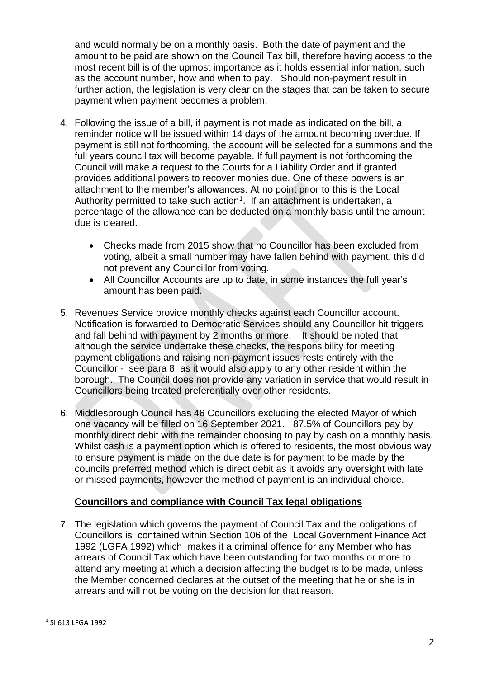and would normally be on a monthly basis. Both the date of payment and the amount to be paid are shown on the Council Tax bill, therefore having access to the most recent bill is of the upmost importance as it holds essential information, such as the account number, how and when to pay. Should non-payment result in further action, the legislation is very clear on the stages that can be taken to secure payment when payment becomes a problem.

- 4. Following the issue of a bill, if payment is not made as indicated on the bill, a reminder notice will be issued within 14 days of the amount becoming overdue. If payment is still not forthcoming, the account will be selected for a summons and the full years council tax will become payable. If full payment is not forthcoming the Council will make a request to the Courts for a Liability Order and if granted provides additional powers to recover monies due. One of these powers is an attachment to the member's allowances. At no point prior to this is the Local Authority permitted to take such action<sup>1</sup>. If an attachment is undertaken, a percentage of the allowance can be deducted on a monthly basis until the amount due is cleared.
	- Checks made from 2015 show that no Councillor has been excluded from voting, albeit a small number may have fallen behind with payment, this did not prevent any Councillor from voting.
	- All Councillor Accounts are up to date, in some instances the full year's amount has been paid.
- 5. Revenues Service provide monthly checks against each Councillor account. Notification is forwarded to Democratic Services should any Councillor hit triggers and fall behind with payment by 2 months or more. It should be noted that although the service undertake these checks, the responsibility for meeting payment obligations and raising non-payment issues rests entirely with the Councillor - see para 8, as it would also apply to any other resident within the borough. The Council does not provide any variation in service that would result in Councillors being treated preferentially over other residents.
- 6. Middlesbrough Council has 46 Councillors excluding the elected Mayor of which one vacancy will be filled on 16 September 2021. 87.5% of Councillors pay by monthly direct debit with the remainder choosing to pay by cash on a monthly basis. Whilst cash is a payment option which is offered to residents, the most obvious way to ensure payment is made on the due date is for payment to be made by the councils preferred method which is direct debit as it avoids any oversight with late or missed payments, however the method of payment is an individual choice.

# **Councillors and compliance with Council Tax legal obligations**

7. The legislation which governs the payment of Council Tax and the obligations of Councillors is contained within Section 106 of the Local Government Finance Act 1992 (LGFA 1992) which makes it a criminal offence for any Member who has arrears of Council Tax which have been outstanding for two months or more to attend any meeting at which a decision affecting the budget is to be made, unless the Member concerned declares at the outset of the meeting that he or she is in arrears and will not be voting on the decision for that reason.

**.** 

<sup>1</sup> SI 613 LFGA 1992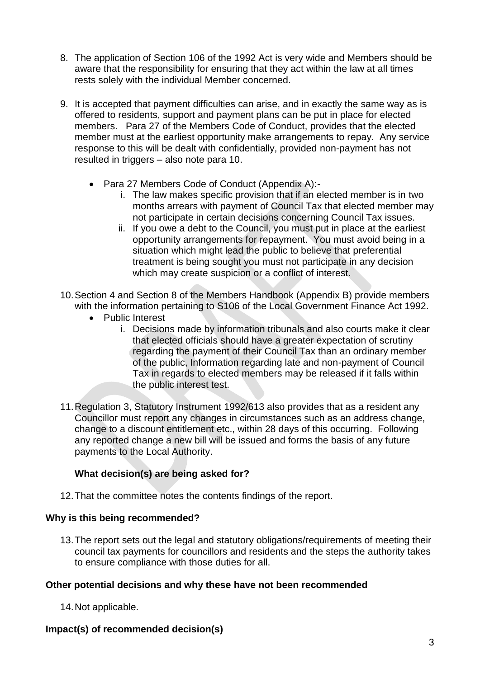- 8. The application of Section 106 of the 1992 Act is very wide and Members should be aware that the responsibility for ensuring that they act within the law at all times rests solely with the individual Member concerned.
- 9. It is accepted that payment difficulties can arise, and in exactly the same way as is offered to residents, support and payment plans can be put in place for elected members. Para 27 of the Members Code of Conduct, provides that the elected member must at the earliest opportunity make arrangements to repay. Any service response to this will be dealt with confidentially, provided non-payment has not resulted in triggers – also note para 10.
	- Para 27 Members Code of Conduct (Appendix A):
		- i. The law makes specific provision that if an elected member is in two months arrears with payment of Council Tax that elected member may not participate in certain decisions concerning Council Tax issues.
		- ii. If you owe a debt to the Council, you must put in place at the earliest opportunity arrangements for repayment. You must avoid being in a situation which might lead the public to believe that preferential treatment is being sought you must not participate in any decision which may create suspicion or a conflict of interest.
- 10.Section 4 and Section 8 of the Members Handbook (Appendix B) provide members with the information pertaining to S106 of the Local Government Finance Act 1992.
	- Public Interest
		- i. Decisions made by information tribunals and also courts make it clear that elected officials should have a greater expectation of scrutiny regarding the payment of their Council Tax than an ordinary member of the public, Information regarding late and non-payment of Council Tax in regards to elected members may be released if it falls within the public interest test.
- 11.Regulation 3, Statutory Instrument 1992/613 also provides that as a resident any Councillor must report any changes in circumstances such as an address change, change to a discount entitlement etc., within 28 days of this occurring. Following any reported change a new bill will be issued and forms the basis of any future payments to the Local Authority.

# **What decision(s) are being asked for?**

12.That the committee notes the contents findings of the report.

#### **Why is this being recommended?**

13.The report sets out the legal and statutory obligations/requirements of meeting their council tax payments for councillors and residents and the steps the authority takes to ensure compliance with those duties for all.

#### **Other potential decisions and why these have not been recommended**

14.Not applicable.

# **Impact(s) of recommended decision(s)**